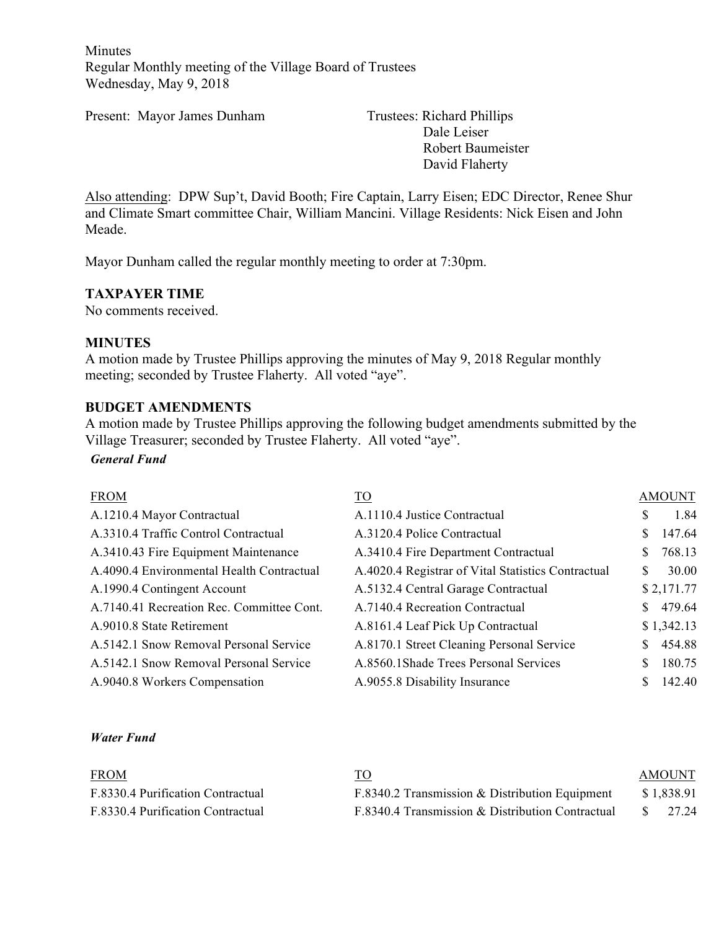Minutes Regular Monthly meeting of the Village Board of Trustees Wednesday, May 9, 2018

Present: Mayor James Dunham Trustees: Richard Phillips

Dale Leiser Robert Baumeister David Flaherty

Also attending: DPW Sup't, David Booth; Fire Captain, Larry Eisen; EDC Director, Renee Shur and Climate Smart committee Chair, William Mancini. Village Residents: Nick Eisen and John Meade.

Mayor Dunham called the regular monthly meeting to order at 7:30pm.

### **TAXPAYER TIME**

No comments received.

#### **MINUTES**

A motion made by Trustee Phillips approving the minutes of May 9, 2018 Regular monthly meeting; seconded by Trustee Flaherty. All voted "aye".

#### **BUDGET AMENDMENTS**

A motion made by Trustee Phillips approving the following budget amendments submitted by the Village Treasurer; seconded by Trustee Flaherty. All voted "aye".

### *General Fund*

| <b>FROM</b>                               | <u>TO</u>                                          | <b>AMOUNT</b> |            |
|-------------------------------------------|----------------------------------------------------|---------------|------------|
| A.1210.4 Mayor Contractual                | A.1110.4 Justice Contractual                       | S             | 1.84       |
| A.3310.4 Traffic Control Contractual      | A.3120.4 Police Contractual                        |               | 147.64     |
| A.3410.43 Fire Equipment Maintenance      | A.3410.4 Fire Department Contractual               |               | 768.13     |
| A.4090.4 Environmental Health Contractual | A.4020.4 Registrar of Vital Statistics Contractual | <sup>\$</sup> | 30.00      |
| A.1990.4 Contingent Account               | A.5132.4 Central Garage Contractual                |               | \$2,171.77 |
| A.7140.41 Recreation Rec. Committee Cont. | A.7140.4 Recreation Contractual                    |               | 479.64     |
| A.9010.8 State Retirement                 | A.8161.4 Leaf Pick Up Contractual                  |               | \$1,342.13 |
| A.5142.1 Snow Removal Personal Service    | A.8170.1 Street Cleaning Personal Service          |               | 454.88     |
| A.5142.1 Snow Removal Personal Service    | A.8560.1Shade Trees Personal Services              |               | 180.75     |
| A.9040.8 Workers Compensation             | A.9055.8 Disability Insurance                      |               | 142.40     |

#### *Water Fund*

| <b>FROM</b>                       |                                                  | <b>AMOUNT</b> |
|-----------------------------------|--------------------------------------------------|---------------|
| F.8330.4 Purification Contractual | F.8340.2 Transmission $&$ Distribution Equipment | \$1,838.91    |
| F.8330.4 Purification Contractual | F.8340.4 Transmission & Distribution Contractual | 27.24         |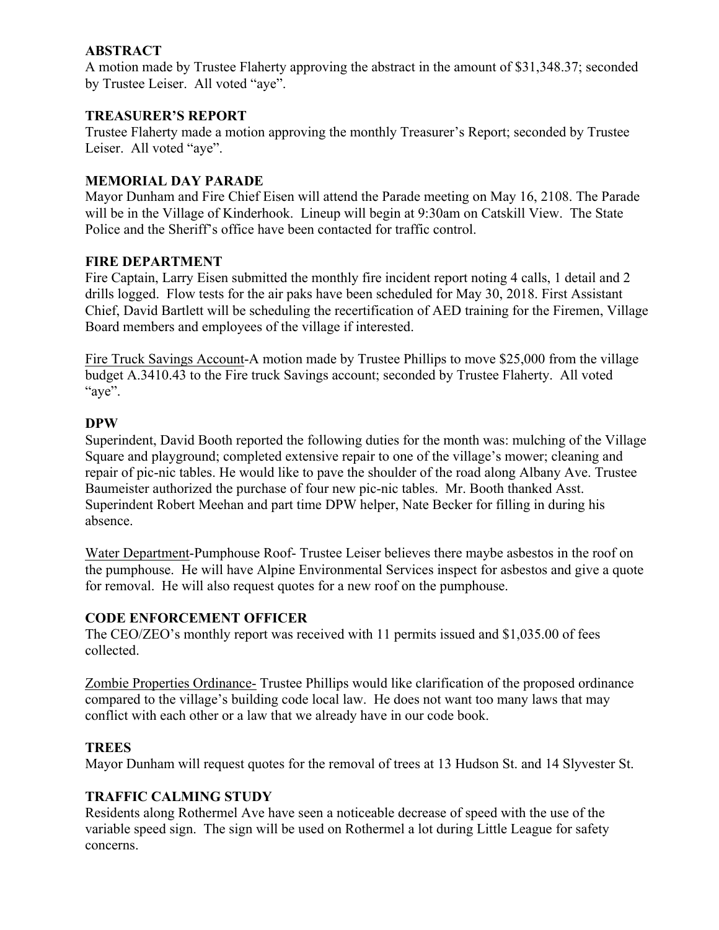## **ABSTRACT**

A motion made by Trustee Flaherty approving the abstract in the amount of \$31,348.37; seconded by Trustee Leiser. All voted "aye".

## **TREASURER'S REPORT**

Trustee Flaherty made a motion approving the monthly Treasurer's Report; seconded by Trustee Leiser. All voted "aye".

### **MEMORIAL DAY PARADE**

Mayor Dunham and Fire Chief Eisen will attend the Parade meeting on May 16, 2108. The Parade will be in the Village of Kinderhook. Lineup will begin at 9:30am on Catskill View. The State Police and the Sheriff's office have been contacted for traffic control.

### **FIRE DEPARTMENT**

Fire Captain, Larry Eisen submitted the monthly fire incident report noting 4 calls, 1 detail and 2 drills logged. Flow tests for the air paks have been scheduled for May 30, 2018. First Assistant Chief, David Bartlett will be scheduling the recertification of AED training for the Firemen, Village Board members and employees of the village if interested.

Fire Truck Savings Account-A motion made by Trustee Phillips to move \$25,000 from the village budget A.3410.43 to the Fire truck Savings account; seconded by Trustee Flaherty. All voted "aye".

### **DPW**

Superindent, David Booth reported the following duties for the month was: mulching of the Village Square and playground; completed extensive repair to one of the village's mower; cleaning and repair of pic-nic tables. He would like to pave the shoulder of the road along Albany Ave. Trustee Baumeister authorized the purchase of four new pic-nic tables. Mr. Booth thanked Asst. Superindent Robert Meehan and part time DPW helper, Nate Becker for filling in during his absence.

Water Department-Pumphouse Roof- Trustee Leiser believes there maybe asbestos in the roof on the pumphouse. He will have Alpine Environmental Services inspect for asbestos and give a quote for removal. He will also request quotes for a new roof on the pumphouse.

#### **CODE ENFORCEMENT OFFICER**

The CEO/ZEO's monthly report was received with 11 permits issued and \$1,035.00 of fees collected.

Zombie Properties Ordinance- Trustee Phillips would like clarification of the proposed ordinance compared to the village's building code local law. He does not want too many laws that may conflict with each other or a law that we already have in our code book.

#### **TREES**

Mayor Dunham will request quotes for the removal of trees at 13 Hudson St. and 14 Slyvester St.

## **TRAFFIC CALMING STUDY**

Residents along Rothermel Ave have seen a noticeable decrease of speed with the use of the variable speed sign. The sign will be used on Rothermel a lot during Little League for safety concerns.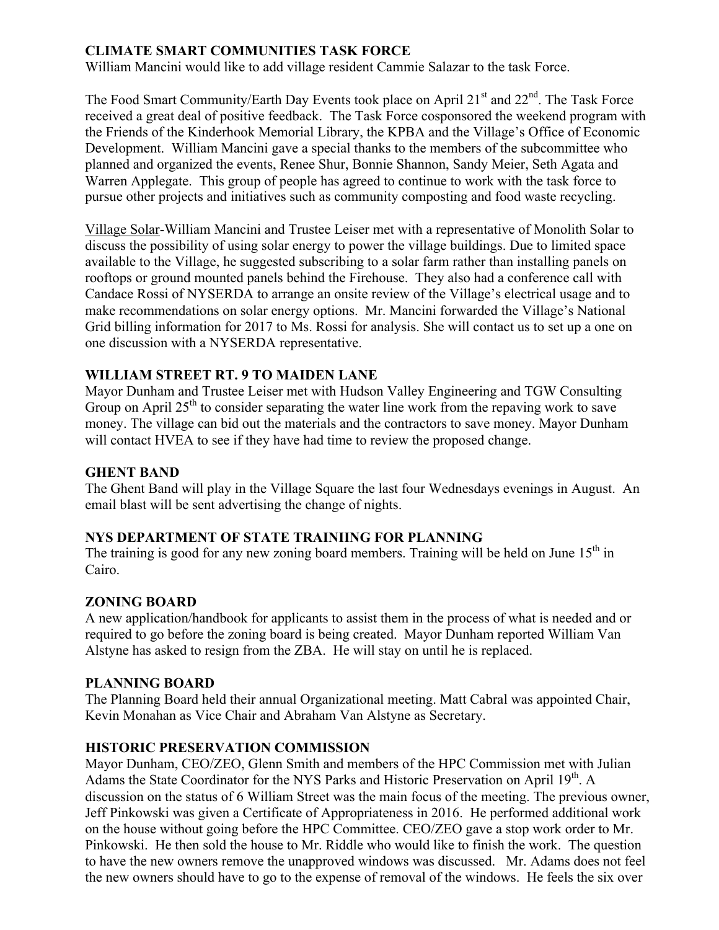## **CLIMATE SMART COMMUNITIES TASK FORCE**

William Mancini would like to add village resident Cammie Salazar to the task Force.

The Food Smart Community/Earth Day Events took place on April 21<sup>st</sup> and 22<sup>nd</sup>. The Task Force received a great deal of positive feedback. The Task Force cosponsored the weekend program with the Friends of the Kinderhook Memorial Library, the KPBA and the Village's Office of Economic Development. William Mancini gave a special thanks to the members of the subcommittee who planned and organized the events, Renee Shur, Bonnie Shannon, Sandy Meier, Seth Agata and Warren Applegate. This group of people has agreed to continue to work with the task force to pursue other projects and initiatives such as community composting and food waste recycling.

Village Solar-William Mancini and Trustee Leiser met with a representative of Monolith Solar to discuss the possibility of using solar energy to power the village buildings. Due to limited space available to the Village, he suggested subscribing to a solar farm rather than installing panels on rooftops or ground mounted panels behind the Firehouse. They also had a conference call with Candace Rossi of NYSERDA to arrange an onsite review of the Village's electrical usage and to make recommendations on solar energy options. Mr. Mancini forwarded the Village's National Grid billing information for 2017 to Ms. Rossi for analysis. She will contact us to set up a one on one discussion with a NYSERDA representative.

## **WILLIAM STREET RT. 9 TO MAIDEN LANE**

Mayor Dunham and Trustee Leiser met with Hudson Valley Engineering and TGW Consulting Group on April  $25<sup>th</sup>$  to consider separating the water line work from the repaving work to save money. The village can bid out the materials and the contractors to save money. Mayor Dunham will contact HVEA to see if they have had time to review the proposed change.

## **GHENT BAND**

The Ghent Band will play in the Village Square the last four Wednesdays evenings in August. An email blast will be sent advertising the change of nights.

## **NYS DEPARTMENT OF STATE TRAINIING FOR PLANNING**

The training is good for any new zoning board members. Training will be held on June  $15<sup>th</sup>$  in Cairo.

## **ZONING BOARD**

A new application/handbook for applicants to assist them in the process of what is needed and or required to go before the zoning board is being created. Mayor Dunham reported William Van Alstyne has asked to resign from the ZBA. He will stay on until he is replaced.

#### **PLANNING BOARD**

The Planning Board held their annual Organizational meeting. Matt Cabral was appointed Chair, Kevin Monahan as Vice Chair and Abraham Van Alstyne as Secretary.

## **HISTORIC PRESERVATION COMMISSION**

Mayor Dunham, CEO/ZEO, Glenn Smith and members of the HPC Commission met with Julian Adams the State Coordinator for the NYS Parks and Historic Preservation on April 19<sup>th</sup>. A discussion on the status of 6 William Street was the main focus of the meeting. The previous owner, Jeff Pinkowski was given a Certificate of Appropriateness in 2016. He performed additional work on the house without going before the HPC Committee. CEO/ZEO gave a stop work order to Mr. Pinkowski. He then sold the house to Mr. Riddle who would like to finish the work. The question to have the new owners remove the unapproved windows was discussed. Mr. Adams does not feel the new owners should have to go to the expense of removal of the windows. He feels the six over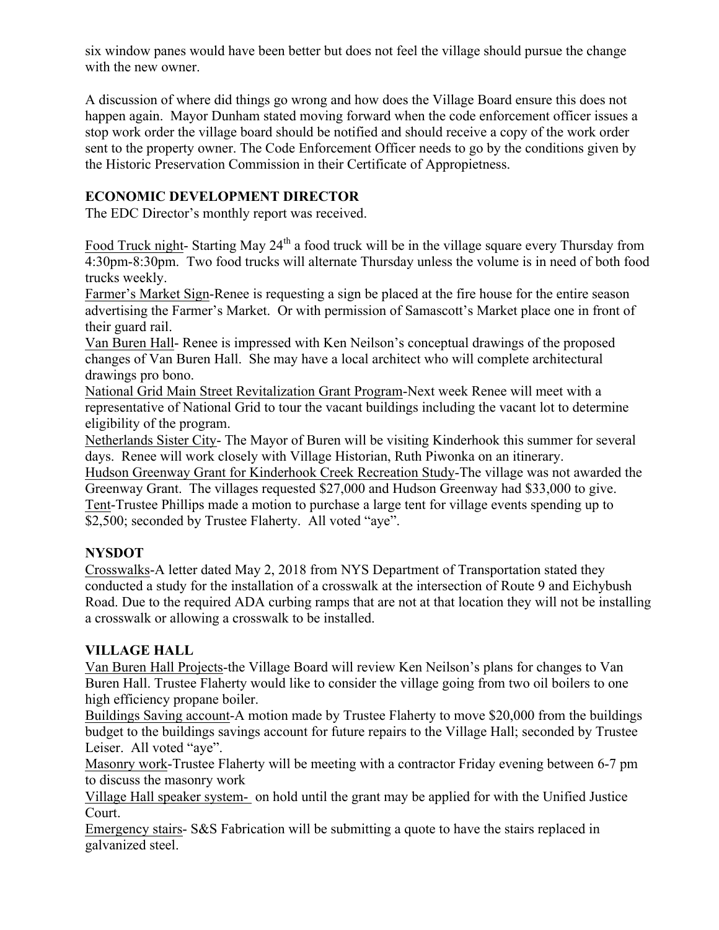six window panes would have been better but does not feel the village should pursue the change with the new owner.

A discussion of where did things go wrong and how does the Village Board ensure this does not happen again. Mayor Dunham stated moving forward when the code enforcement officer issues a stop work order the village board should be notified and should receive a copy of the work order sent to the property owner. The Code Enforcement Officer needs to go by the conditions given by the Historic Preservation Commission in their Certificate of Appropietness.

# **ECONOMIC DEVELOPMENT DIRECTOR**

The EDC Director's monthly report was received.

Food Truck night- Starting May 24<sup>th</sup> a food truck will be in the village square every Thursday from 4:30pm-8:30pm. Two food trucks will alternate Thursday unless the volume is in need of both food trucks weekly.

Farmer's Market Sign-Renee is requesting a sign be placed at the fire house for the entire season advertising the Farmer's Market. Or with permission of Samascott's Market place one in front of their guard rail.

Van Buren Hall- Renee is impressed with Ken Neilson's conceptual drawings of the proposed changes of Van Buren Hall. She may have a local architect who will complete architectural drawings pro bono.

National Grid Main Street Revitalization Grant Program-Next week Renee will meet with a representative of National Grid to tour the vacant buildings including the vacant lot to determine eligibility of the program.

Netherlands Sister City- The Mayor of Buren will be visiting Kinderhook this summer for several days. Renee will work closely with Village Historian, Ruth Piwonka on an itinerary.

Hudson Greenway Grant for Kinderhook Creek Recreation Study-The village was not awarded the Greenway Grant. The villages requested \$27,000 and Hudson Greenway had \$33,000 to give. Tent-Trustee Phillips made a motion to purchase a large tent for village events spending up to \$2,500; seconded by Trustee Flaherty. All voted "aye".

# **NYSDOT**

Crosswalks-A letter dated May 2, 2018 from NYS Department of Transportation stated they conducted a study for the installation of a crosswalk at the intersection of Route 9 and Eichybush Road. Due to the required ADA curbing ramps that are not at that location they will not be installing a crosswalk or allowing a crosswalk to be installed.

# **VILLAGE HALL**

Van Buren Hall Projects-the Village Board will review Ken Neilson's plans for changes to Van Buren Hall. Trustee Flaherty would like to consider the village going from two oil boilers to one high efficiency propane boiler.

Buildings Saving account-A motion made by Trustee Flaherty to move \$20,000 from the buildings budget to the buildings savings account for future repairs to the Village Hall; seconded by Trustee Leiser. All voted "aye".

Masonry work-Trustee Flaherty will be meeting with a contractor Friday evening between 6-7 pm to discuss the masonry work

Village Hall speaker system- on hold until the grant may be applied for with the Unified Justice Court.

Emergency stairs- S&S Fabrication will be submitting a quote to have the stairs replaced in galvanized steel.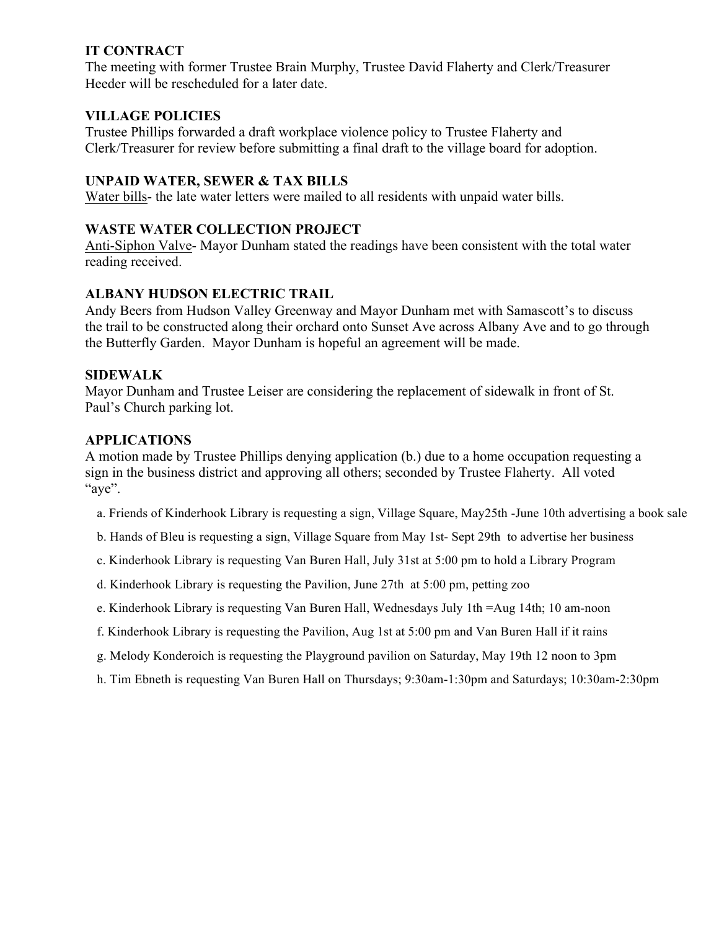## **IT CONTRACT**

The meeting with former Trustee Brain Murphy, Trustee David Flaherty and Clerk/Treasurer Heeder will be rescheduled for a later date.

## **VILLAGE POLICIES**

Trustee Phillips forwarded a draft workplace violence policy to Trustee Flaherty and Clerk/Treasurer for review before submitting a final draft to the village board for adoption.

## **UNPAID WATER, SEWER & TAX BILLS**

Water bills- the late water letters were mailed to all residents with unpaid water bills.

## **WASTE WATER COLLECTION PROJECT**

Anti-Siphon Valve- Mayor Dunham stated the readings have been consistent with the total water reading received.

## **ALBANY HUDSON ELECTRIC TRAIL**

Andy Beers from Hudson Valley Greenway and Mayor Dunham met with Samascott's to discuss the trail to be constructed along their orchard onto Sunset Ave across Albany Ave and to go through the Butterfly Garden. Mayor Dunham is hopeful an agreement will be made.

## **SIDEWALK**

Mayor Dunham and Trustee Leiser are considering the replacement of sidewalk in front of St. Paul's Church parking lot.

## **APPLICATIONS**

A motion made by Trustee Phillips denying application (b.) due to a home occupation requesting a sign in the business district and approving all others; seconded by Trustee Flaherty. All voted "aye".

- a. Friends of Kinderhook Library is requesting a sign, Village Square, May25th -June 10th advertising a book sale
- b. Hands of Bleu is requesting a sign, Village Square from May 1st- Sept 29th to advertise her business
- c. Kinderhook Library is requesting Van Buren Hall, July 31st at 5:00 pm to hold a Library Program
- d. Kinderhook Library is requesting the Pavilion, June 27th at 5:00 pm, petting zoo
- e. Kinderhook Library is requesting Van Buren Hall, Wednesdays July 1th =Aug 14th; 10 am-noon
- f. Kinderhook Library is requesting the Pavilion, Aug 1st at 5:00 pm and Van Buren Hall if it rains
- g. Melody Konderoich is requesting the Playground pavilion on Saturday, May 19th 12 noon to 3pm
- h. Tim Ebneth is requesting Van Buren Hall on Thursdays; 9:30am-1:30pm and Saturdays; 10:30am-2:30pm